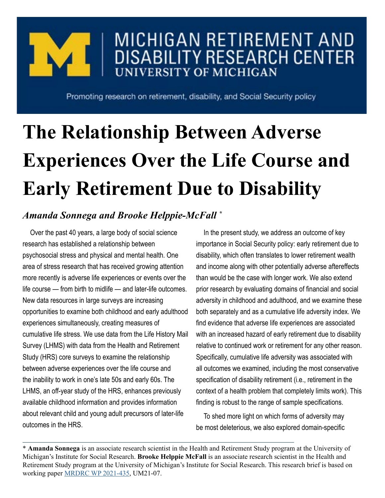## MICHIGAN RETIREMENT AND **DISABILITY RESEARCH CENTER UNIVERSITY OF MICHIGAN**

Promoting research on retirement, disability, and Social Security policy

# **The Relationship Between Adverse Experiences Over the Life Course and Early Retirement Due to Disability**

### *Amanda Sonnega and Brooke Helppie-McFall \**

Over the past 40 years, a large body of social science research has established a relationship between psychosocial stress and physical and mental health. One area of stress research that has received growing attention more recently is adverse life experiences or events over the life course — from birth to midlife — and later-life outcomes. New data resources in large surveys are increasing opportunities to examine both childhood and early adulthood experiences simultaneously, creating measures of cumulative life stress. We use data from the Life History Mail Survey (LHMS) with data from the Health and Retirement Study (HRS) core surveys to examine the relationship between adverse experiences over the life course and the inability to work in one's late 50s and early 60s. The LHMS, an off-year study of the HRS, enhances previously available childhood information and provides information about relevant child and young adult precursors of later-life outcomes in the HRS.

In the present study, we address an outcome of key importance in Social Security policy: early retirement due to disability, which often translates to lower retirement wealth and income along with other potentially adverse aftereffects than would be the case with longer work. We also extend prior research by evaluating domains of financial and social adversity in childhood and adulthood, and we examine these both separately and as a cumulative life adversity index. We find evidence that adverse life experiences are associated with an increased hazard of early retirement due to disability relative to continued work or retirement for any other reason. Specifically, cumulative life adversity was associated with all outcomes we examined, including the most conservative specification of disability retirement (i.e., retirement in the context of a health problem that completely limits work). This finding is robust to the range of sample specifications.

To shed more light on which forms of adversity may be most deleterious, we also explored domain-specific

<sup>\*</sup> **Amanda Sonnega** is an associate research scientist in the Health and Retirement Study program at the University of Michigan's Institute for Social Research. **Brooke Helppie McFall** is an associate research scientist in the Health and Retirement Study program at the University of Michigan's Institute for Social Research. This research brief is based on working paper [MRDRC WP 2021-435,](https://mrdrc.isr.umich.edu/pubs/the-relationship-between-adverse-experiences-over-the-life-course-and-early-retirement-due-to-disability/) UM21-07.